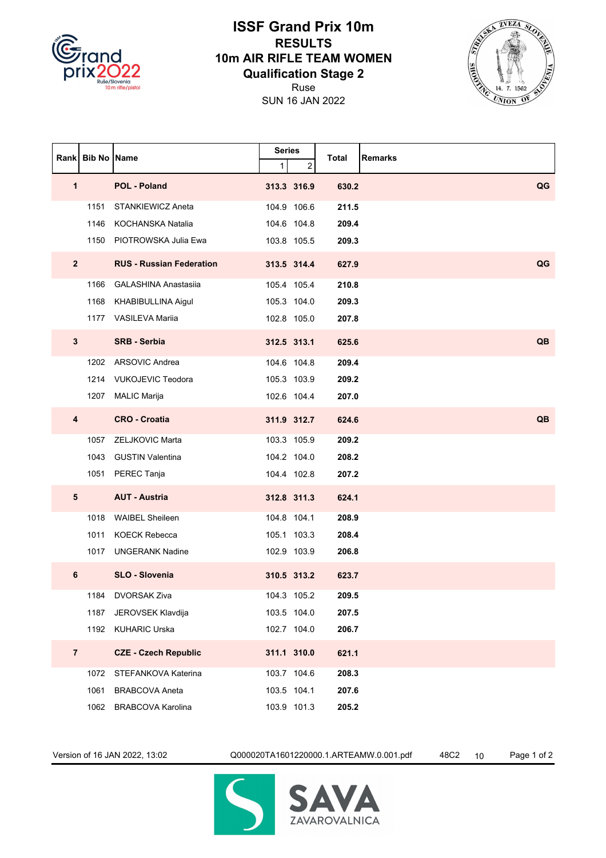

## **ISSF Grand Prix 10m RESULTS 10m AIR RIFLE TEAM WOMEN Qualification Stage 2**





|                | Rank Bib No Name |                                 | <b>Series</b> |             |       | <b>Remarks</b> |
|----------------|------------------|---------------------------------|---------------|-------------|-------|----------------|
|                |                  |                                 | 1             | 2           | Total |                |
| 1              |                  | <b>POL - Poland</b>             |               | 313.3 316.9 | 630.2 | QG             |
|                | 1151             | <b>STANKIEWICZ Aneta</b>        |               | 104.9 106.6 | 211.5 |                |
|                | 1146             | KOCHANSKA Natalia               |               | 104.6 104.8 | 209.4 |                |
|                | 1150             | PIOTROWSKA Julia Ewa            |               | 103.8 105.5 | 209.3 |                |
| $\overline{2}$ |                  | <b>RUS - Russian Federation</b> |               | 313.5 314.4 | 627.9 | QG             |
|                | 1166             | <b>GALASHINA Anastasija</b>     |               | 105.4 105.4 | 210.8 |                |
|                | 1168             | KHABIBULLINA Aigul              |               | 105.3 104.0 | 209.3 |                |
|                |                  | 1177 VASILEVA Mariia            |               | 102.8 105.0 | 207.8 |                |
| $3\phantom{a}$ |                  | <b>SRB - Serbia</b>             |               | 312.5 313.1 | 625.6 | QB             |
|                | 1202             | <b>ARSOVIC Andrea</b>           |               | 104.6 104.8 | 209.4 |                |
|                |                  | 1214 VUKOJEVIC Teodora          |               | 105.3 103.9 | 209.2 |                |
|                |                  | 1207 MALIC Marija               |               | 102.6 104.4 | 207.0 |                |
| 4              |                  | <b>CRO - Croatia</b>            |               | 311.9 312.7 | 624.6 | QB             |
|                | 1057             | ZELJKOVIC Marta                 |               | 103.3 105.9 | 209.2 |                |
|                | 1043             | <b>GUSTIN Valentina</b>         |               | 104.2 104.0 | 208.2 |                |
|                |                  | 1051 PEREC Tanja                |               | 104.4 102.8 | 207.2 |                |
| $5\phantom{1}$ |                  | <b>AUT - Austria</b>            |               | 312.8 311.3 | 624.1 |                |
|                | 1018             | <b>WAIBEL Sheileen</b>          |               | 104.8 104.1 | 208.9 |                |
|                | 1011             | <b>KOECK Rebecca</b>            |               | 105.1 103.3 | 208.4 |                |
|                | 1017             | <b>UNGERANK Nadine</b>          |               | 102.9 103.9 | 206.8 |                |
| 6              |                  | <b>SLO - Slovenia</b>           |               | 310.5 313.2 | 623.7 |                |
|                | 1184             | <b>DVORSAK Ziva</b>             |               | 104.3 105.2 | 209.5 |                |
|                | 1187             | JEROVSEK Klavdija               |               | 103.5 104.0 | 207.5 |                |
|                |                  | 1192 KUHARIC Urska              |               | 102.7 104.0 | 206.7 |                |
| $\overline{7}$ |                  | <b>CZE - Czech Republic</b>     |               | 311.1 310.0 | 621.1 |                |
|                | 1072             | STEFANKOVA Katerina             |               | 103.7 104.6 | 208.3 |                |
|                | 1061             | <b>BRABCOVA Aneta</b>           |               | 103.5 104.1 | 207.6 |                |
|                | 1062             | <b>BRABCOVA Karolina</b>        |               | 103.9 101.3 | 205.2 |                |

Version of 16 JAN 2022, 13:02 Q000020TA1601220000.1.ARTEAMW.0.001.pdf 48C2 10 Page 1 of 2